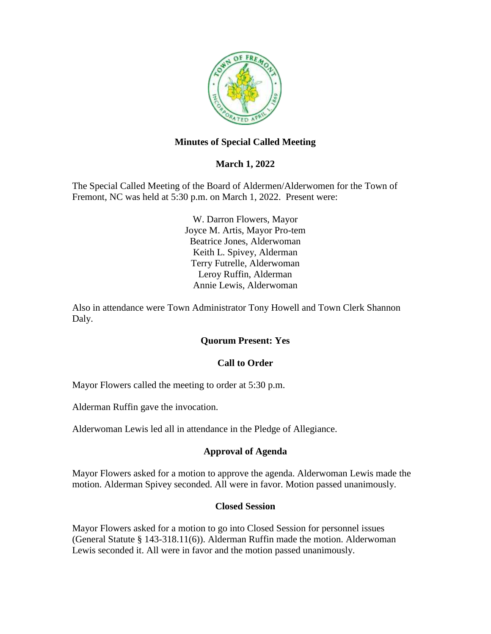

# **Minutes of Special Called Meeting**

# **March 1, 2022**

The Special Called Meeting of the Board of Aldermen/Alderwomen for the Town of Fremont, NC was held at 5:30 p.m. on March 1, 2022. Present were:

> W. Darron Flowers, Mayor Joyce M. Artis, Mayor Pro-tem Beatrice Jones, Alderwoman Keith L. Spivey, Alderman Terry Futrelle, Alderwoman Leroy Ruffin, Alderman Annie Lewis, Alderwoman

Also in attendance were Town Administrator Tony Howell and Town Clerk Shannon Daly.

## **Quorum Present: Yes**

#### **Call to Order**

Mayor Flowers called the meeting to order at 5:30 p.m.

Alderman Ruffin gave the invocation.

Alderwoman Lewis led all in attendance in the Pledge of Allegiance.

## **Approval of Agenda**

Mayor Flowers asked for a motion to approve the agenda. Alderwoman Lewis made the motion. Alderman Spivey seconded. All were in favor. Motion passed unanimously.

## **Closed Session**

Mayor Flowers asked for a motion to go into Closed Session for personnel issues (General Statute § 143-318.11(6)). Alderman Ruffin made the motion. Alderwoman Lewis seconded it. All were in favor and the motion passed unanimously.